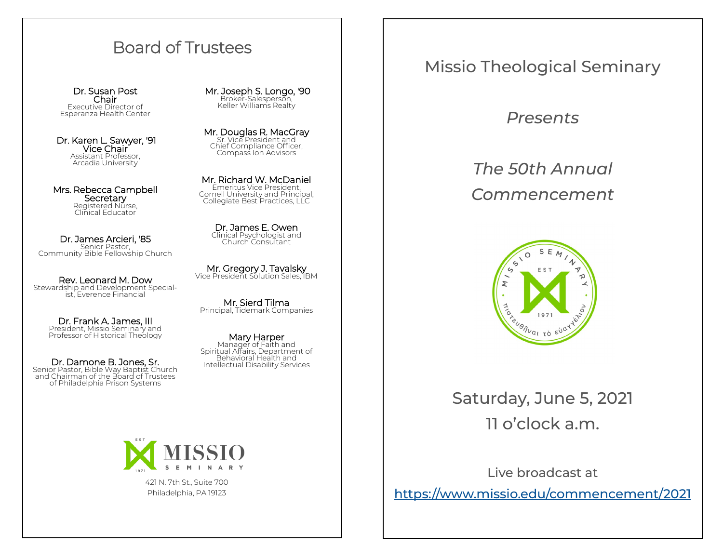## Board of Trustees

Dr. Susan Post Chair Executive Director of Esperanza Health Center

Dr. Karen L. Sawyer, ′91 Vice Chair Assistant Professor, Arcadia University

Mrs. Rebecca Campbell **Secretary** Registered Nürse,<br>Clinical Educator

Dr. James Arcieri, '85 Senior Pastor, Community Bible Fellowship Church

Rev. Leonard M. Dow Stewardship and Development Specialist, Everence Financial

> Dr. Frank A. James, III President, Missio Seminary and Professor of Historical Theology

Dr. Damone B. Jones, Sr. Senior Pastor, Bible Way Baptist Church and Chairman of the Board of Trustees of Philadelphia Prison Systems Mr. Joseph S. Longo, ′90 Broker-Salesperson, Keller Williams Realty

Mr. Douglas R. MacGray Sr. Vice President and Chief Compliance Officer, Compass Ion Advisors

Mr. Richard W. McDaniel Emeritus Vice President, Cornell University and Principal, Collegiate Best Practices, LLC

> Dr. James E. Owen Clinical Psychologist and Church Consultant

**Mr. Gregory J. Tavalsky**<br>Vice President Solution Sales, IBM

Mr. Sierd Tilma Principal, Tidemark Companies

Mary Harper Manager of Faith and Spiritual Affairs, Department of Behavioral Health and Intellectual Disability Services



421 N. 7th St., Suite 700 Philadelphia, PA 19123

## Missio Theological Seminary

*Presents*

*The 50th Annual Commencement*



Saturday, June 5, 2021 11 o'clock a.m.

Live broadcast at [https://www.missio.edu/commencement/2021](https://missio.edu/commencement2021/)